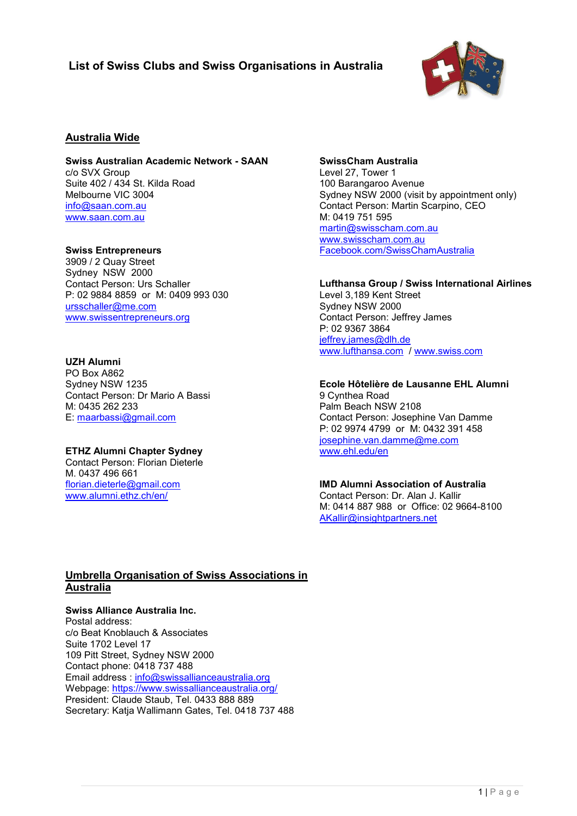# **List of Swiss Clubs and Swiss Organisations in Australia**



### **Australia Wide**

**Swiss Australian Academic Network - SAAN** c/o SVX Group Suite 402 / 434 St. Kilda Road Melbourne VIC 3004 [info@saan.com.au](mailto:info@saan.com.au) [www.saan.com.au](http://www.saan.com.au/)

#### **Swiss Entrepreneurs**

3909 / 2 Quay Street Sydney NSW 2000 Contact Person: Urs Schaller P: 02 9884 8859 or M: 0409 993 030 [ursschaller@me.com](mailto:ursschaller@me.com) [www.swissentrepreneurs.org](http://www.swissentrepreneurs.org/)

#### **UZH Alumni**

PO Box A862 Sydney NSW 1235 Contact Person: Dr Mario A Bassi M: 0435 262 233 E: [maarbassi@gmail.com](mailto:maarbassi@gmail.com)

#### **ETHZ Alumni Chapter Sydney**

Contact Person: Florian Dieterle M. 0437 496 661 [florian.dieterle@gmail.com](mailto:florian.dieterle@gmail.com) [www.alumni.ethz.ch/en/](http://www.alumni.ethz.ch/en/)

#### **SwissCham Australia**

Level 27, Tower 1 100 Barangaroo Avenue Sydney NSW 2000 (visit by appointment only) Contact Person: Martin Scarpino, CEO M: 0419 751 595 [martin@swisscham.com.au](mailto:martin@swisscham.com.au) [www.swisscham.com.au](http://www.swisscham.com.au/) [Facebook.com/SwissChamAustralia](http://www.facebook.com/SwissChamAustralia)

#### **Lufthansa Group / Swiss International Airlines**

Level 3,189 Kent Street Sydney NSW 2000 Contact Person: Jeffrey James P: 02 9367 3864 [jeffrey.james@dlh.de](mailto:jeffrey.james@dlh.de)  [www.lufthansa.com](http://www.lufthansa.com/) / [www.swiss.com](http://www.swiss.com/)

# **Ecole Hôtelière de Lausanne EHL Alumni**

9 Cynthea Road Palm Beach NSW 2108 Contact Person: Josephine Van Damme P: 02 9974 4799 or M: 0432 391 458 [josephine.van.damme@me.com](mailto:josephine.van.damme@me.com) [www.ehl.edu/en](http://www.ehl.edu/en)

**IMD Alumni Association of Australia** Contact Person: Dr. Alan J. Kallir M: 0414 887 988 or Office: 02 9664-8100 [AKallir@insightpartners.net](mailto:AKallir@insightpartners.net)

## **Umbrella Organisation of Swiss Associations in Australia**

**Swiss Alliance Australia Inc.** Postal address: c/o Beat Knoblauch & Associates Suite 1702 Level 17 109 Pitt Street, Sydney NSW 2000 Contact phone: 0418 737 488 Email address : [info@swissallianceaustralia.org](mailto:info@swissallianceaustralia.org) Webpage:<https://www.swissallianceaustralia.org/> President: Claude Staub, Tel. 0433 888 889 Secretary: Katja Wallimann Gates, Tel. 0418 737 488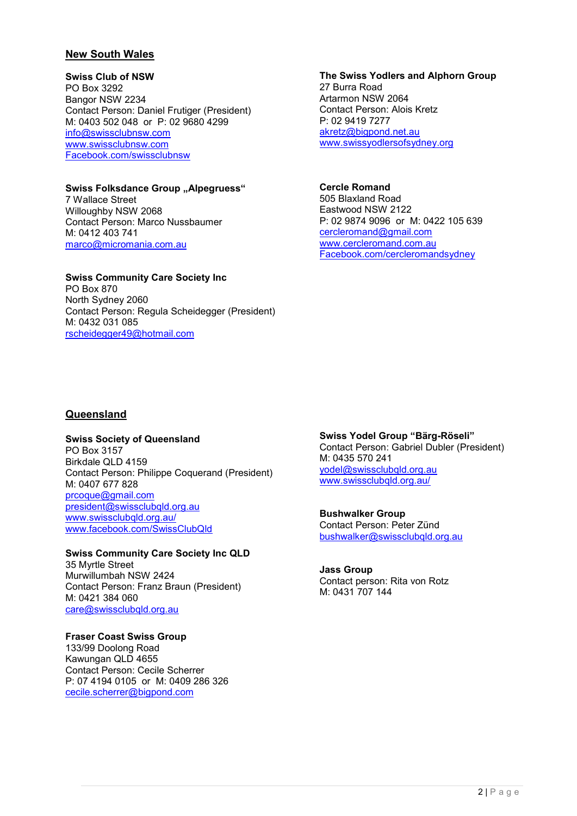## **New South Wales**

#### **Swiss Club of NSW**

PO Box 3292 Bangor NSW 2234 Contact Person: Daniel Frutiger (President) M: 0403 502 048 or P: 02 9680 4299 [info@swissclubnsw.com](mailto:info@swissclubnsw.com) [www.swissclubnsw.com](http://www.swissclubnsw.com/) [Facebook.com/swissclubnsw](http://www.facebook.com/swissclubnsw)

## **Swiss Folksdance Group "Alpegruess"**

7 Wallace Street Willoughby NSW 2068 Contact Person: Marco Nussbaumer M: 0412 403 741 [marco@micromania.com.au](mailto:marco@micromania.com.au)

#### **Swiss Community Care Society Inc** PO Box 870 North Sydney 2060 Contact Person: Regula Scheidegger (President) M: 0432 031 085 rscheidegger49@hotmail.com

## **The Swiss Yodlers and Alphorn Group**

27 Burra Road Artarmon NSW 2064 Contact Person: Alois Kretz P: 02 9419 7277 [akretz@bigpond.net.au](mailto:akretz@bigpond.net.au) [www.swissyodlersofsydney.org](http://www.swissyodlersofsydney.org/)

# **Cercle Romand**

505 Blaxland Road Eastwood NSW 2122 P: 02 9874 9096 or M: 0422 105 639 [cercleromand@gmail.com](mailto:cercleromand@gmail.com) [www.cercleromand.com.au](http://www.cercleromand.com.au/) [Facebook.com/cercleromandsydney](http://www.facebook.com/cercleromandsydney)

# **Queensland**

# **Swiss Society of Queensland**

PO Box 3157 Birkdale QLD 4159 Contact Person: Philippe Coquerand (President) M: 0407 677 828 [prcoque@gmail.com](mailto:prcoque@gmail.com) [president@swissclubqld.org.au](mailto:president@swissclubqld.org.au) [www.swissclubqld.org.au/](http://www.swissclubqld.org.au/) [www.facebook.com/SwissClubQld](https://www.facebook.com/SwissClubQld)

# **Swiss Community Care Society Inc QLD**

35 Myrtle Street Murwillumbah NSW 2424 Contact Person: Franz Braun (President) M: 0421 384 060 [care@swissclubqld.org.au](mailto:care@swissclubqld.org.au)

#### **Fraser Coast Swiss Group**

133/99 Doolong Road Kawungan QLD 4655 Contact Person: Cecile Scherrer P: 07 4194 0105 or M: 0409 286 326 [cecile.scherrer@bigpond.com](mailto:cecile.scherrer@bigpond.com)

**Swiss Yodel Group "Bärg-Röseli"** Contact Person: Gabriel Dubler (President) M: 0435 570 241 [yodel@swissclubqld.org.](mailto:yodel@swissclubqld.org)au [www.swissclubqld.org.au/](https://www.swissclubqld.org.au/)

#### **Bushwalker Group** Contact Person: Peter Zünd [bushwalker@swissclubqld.org.au](mailto:bushwalker@swissclubqld.org.au)

**Jass Group**  Contact person: Rita von Rotz M: 0431 707 144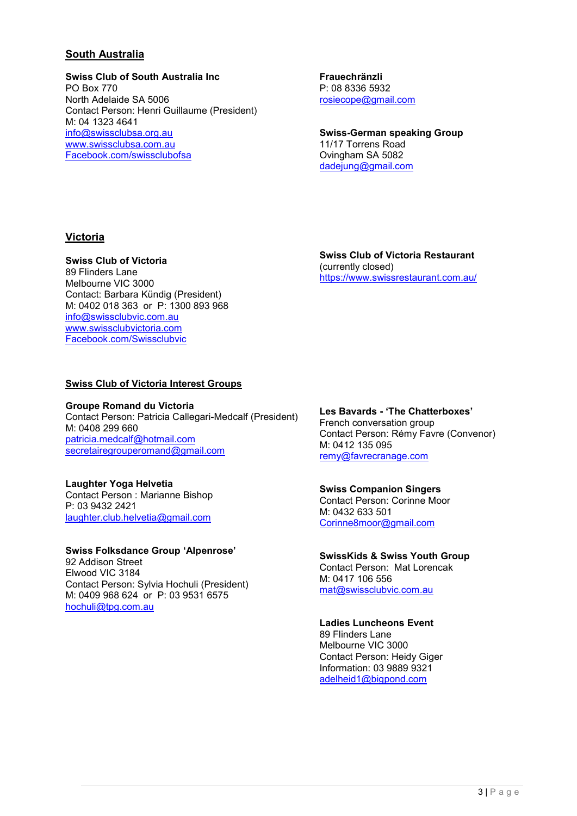# **South Australia**

### **Swiss Club of South Australia Inc**

PO Box 770 North Adelaide SA 5006 Contact Person: Henri Guillaume (President) M: 04 1323 4641 [info@swissclubsa.org.au](mailto:info@swissclubsa.org.au) [www.swissclubsa.com.au](http://www.swissclubsa.com.au/) [Facebook.com/swissclubofsa](http://www.facebook.com/swissclubofsa)

**Frauechränzli** P: 08 8336 5932 [rosiecope@gmail.com](mailto:rosiecope@gmail.com)

**Swiss-German speaking Group** 11/17 Torrens Road Ovingham SA 5082 [dadejung@gmail.com](mailto:dadejung@gmail.com)

## **Victoria**

### **Swiss Club of Victoria**

89 Flinders Lane Melbourne VIC 3000 Contact: Barbara Kündig (President) M: 0402 018 363 or P: 1300 893 968 [info@swissclubvic.com.au](mailto:info@swissclubvic.com.au) [www.swissclubvictoria.com](http://www.swissclubvictoria.com/) [Facebook.com/Swissclubvic](http://www.facebook.com/Swissclubvic)

**Swiss Club of Victoria Restaurant** (currently closed) <https://www.swissrestaurant.com.au/>

### **Swiss Club of Victoria Interest Groups**

**Groupe Romand du Victoria** Contact Person: Patricia Callegari-Medcalf (President) M: 0408 299 660 [patricia.medcalf@hotmail.com](mailto:patricia.medcalf@hotmail.com) [secretairegrouperomand@gmail.com](mailto:secretairegrouperomand@gmail.com)

## **Laughter Yoga Helvetia**

Contact Person : Marianne Bishop P: 03 9432 2421 [laughter.club.helvetia@gmail.com](mailto:laughter.club.helvetia@gmail.com) 

### **Swiss Folksdance Group 'Alpenrose'**

92 Addison Street Elwood VIC 3184 Contact Person: Sylvia Hochuli (President) M: 0409 968 624 or P: 03 9531 6575 [hochuli@tpg.com.au](mailto:hochuli@tpg.com.au)

**Les Bavards - 'The Chatterboxes'** French conversation group Contact Person: Rémy Favre (Convenor) M: 0412 135 095 [remy@favrecranage.com](mailto:remy@favrecranage.com)

#### **Swiss Companion Singers**

Contact Person: Corinne Moor M: 0432 633 501 [Corinne8moor@gmail.com](mailto:Corinne8moor@gmail.com)

## **SwissKids & Swiss Youth Group**

Contact Person: Mat Lorencak M: 0417 106 556 [mat@swissclubvic.com.au](mailto:mat@swissclubvic.com.au)

## **Ladies Luncheons Event**

89 Flinders Lane Melbourne VIC 3000 Contact Person: Heidy Giger Information: 03 9889 9321 [adelheid1@bigpond.com](mailto:adelheid1@bigpond.com)